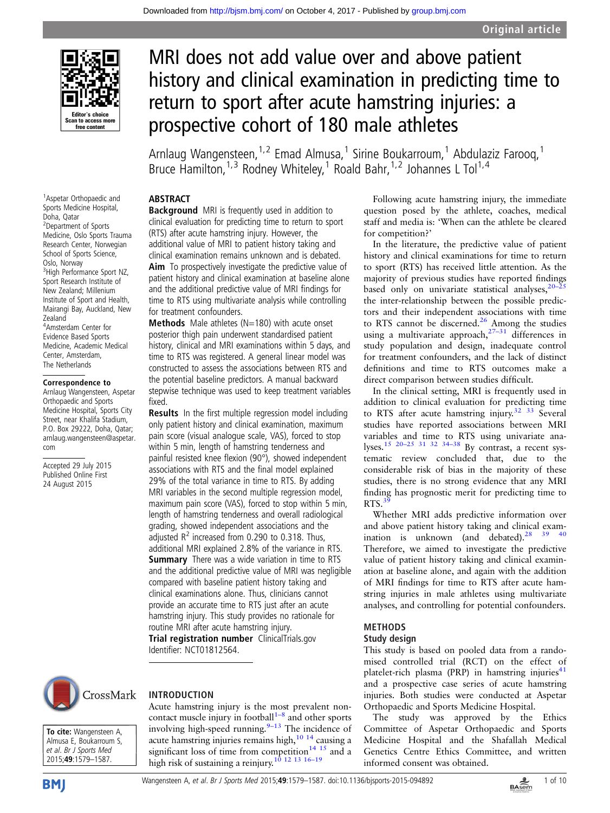

<sup>1</sup> Aspetar Orthopaedic and Sports Medicine Hospital,

<sup>3</sup> High Performance Sport NZ, Sport Research Institute of New Zealand; Millenium Institute of Sport and Health, Mairangi Bay, Auckland, New

4 Amsterdam Center for Evidence Based Sports Medicine, Academic Medical Center, Amsterdam, The Netherlands Correspondence to Arnlaug Wangensteen, Aspetar Orthopaedic and Sports Medicine Hospital, Sports City Street, near Khalifa Stadium, P.O. Box 29222, Doha, Qatar; arnlaug.wangensteen@aspetar.

Accepted 29 July 2015 Published Online First 24 August 2015

Doha, Qatar 2 Department of Sports Medicine, Oslo Sports Trauma Research Center, Norwegian School of Sports Science, Oslo, Norway

Zealand

com

# MRI does not add value over and above patient history and clinical examination in predicting time to return to sport after acute hamstring injuries: a prospective cohort of 180 male athletes

Arnlaug Wangensteen,  $1.2$  Emad Almusa, <sup>1</sup> Sirine Boukarroum, <sup>1</sup> Abdulaziz Faroog, <sup>1</sup> Bruce Hamilton, <sup>1,3</sup> Rodney Whiteley,<sup>1</sup> Roald Bahr, <sup>1,2</sup> Johannes L Tol<sup>1,4</sup>

#### ABSTRACT

**Background** MRI is frequently used in addition to clinical evaluation for predicting time to return to sport (RTS) after acute hamstring injury. However, the additional value of MRI to patient history taking and clinical examination remains unknown and is debated.

Aim To prospectively investigate the predictive value of patient history and clinical examination at baseline alone and the additional predictive value of MRI findings for time to RTS using multivariate analysis while controlling for treatment confounders.

**Methods** Male athletes (N=180) with acute onset posterior thigh pain underwent standardised patient history, clinical and MRI examinations within 5 days, and time to RTS was registered. A general linear model was constructed to assess the associations between RTS and the potential baseline predictors. A manual backward stepwise technique was used to keep treatment variables fixed.

**Results** In the first multiple regression model including only patient history and clinical examination, maximum pain score (visual analogue scale, VAS), forced to stop within 5 min, length of hamstring tenderness and painful resisted knee flexion (90°), showed independent associations with RTS and the final model explained 29% of the total variance in time to RTS. By adding MRI variables in the second multiple regression model, maximum pain score (VAS), forced to stop within 5 min, length of hamstring tenderness and overall radiological grading, showed independent associations and the adjusted  $R^2$  increased from 0.290 to 0.318. Thus, additional MRI explained 2.8% of the variance in RTS. **Summary** There was a wide variation in time to RTS and the additional predictive value of MRI was negligible compared with baseline patient history taking and clinical examinations alone. Thus, clinicians cannot provide an accurate time to RTS just after an acute hamstring injury. This study provides no rationale for routine MRI after acute hamstring injury. Trial registration number ClinicalTrials.gov

Identifier: NCT01812564.



## INTRODUCTION

Acute hamstring injury is the most prevalent noncontact muscle injury in football $1-8$  $1-8$  and other sports involving high-speed running. $9-13$  $9-13$  The incidence of acute hamstring injuries remains high,[10 14](#page-8-0) causing a significant loss of time from competition<sup>14 15</sup> and a high risk of sustaining a reinjury.<sup>[10 12 13](#page-8-0) 16-[19](#page-8-0)</sup>

Following acute hamstring injury, the immediate question posed by the athlete, coaches, medical staff and media is: 'When can the athlete be cleared for competition?'

In the literature, the predictive value of patient history and clinical examinations for time to return to sport (RTS) has received little attention. As the majority of previous studies have reported findings based only on univariate statistical analyses,  $20-25$  $20-25$ the inter-relationship between the possible predictors and their independent associations with time to RTS cannot be discerned.<sup>[26](#page-8-0)</sup> Among the studies using a multivariate approach, $27-31$  $27-31$  differences in study population and design, inadequate control for treatment confounders, and the lack of distinct definitions and time to RTS outcomes make a direct comparison between studies difficult.

In the clinical setting, MRI is frequently used in addition to clinical evaluation for predicting time to RTS after acute hamstring injury.<sup>32</sup> <sup>33</sup> Several studies have reported associations between MRI variables and time to RTS using univariate ana-lyses.<sup>15</sup> <sup>20–25</sup> <sup>31</sup> <sup>32</sup> <sup>34–[38](#page-8-0)</sup> By contrast, a recent systematic review concluded that, due to the considerable risk of bias in the majority of these studies, there is no strong evidence that any MRI finding has prognostic merit for predicting time to  $RTS<sup>3</sup>$ 

Whether MRI adds predictive information over and above patient history taking and clinical examination is unknown (and debated). $28^{39}$  $28^{39}$  40 Therefore, we aimed to investigate the predictive value of patient history taking and clinical examination at baseline alone, and again with the addition of MRI findings for time to RTS after acute hamstring injuries in male athletes using multivariate analyses, and controlling for potential confounders.

## METHODS

#### Study design

This study is based on pooled data from a randomised controlled trial (RCT) on the effect of platelet-rich plasma (PRP) in hamstring injuries $41$ and a prospective case series of acute hamstring injuries. Both studies were conducted at Aspetar Orthopaedic and Sports Medicine Hospital.

The study was approved by the Ethics Committee of Aspetar Orthopaedic and Sports Medicine Hospital and the Shafallah Medical Genetics Centre Ethics Committee, and written informed consent was obtained.

To cite: Wangensteen A,

Almusa E, Boukarroum S, et al. Br J Sports Med 2015;49:1579–1587.



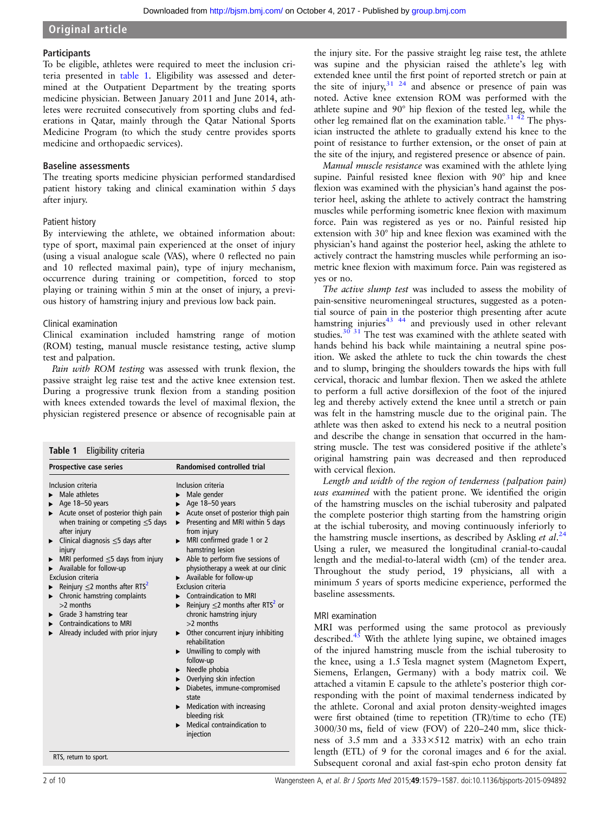#### **Participants**

To be eligible, athletes were required to meet the inclusion criteria presented in table 1. Eligibility was assessed and determined at the Outpatient Department by the treating sports medicine physician. Between January 2011 and June 2014, athletes were recruited consecutively from sporting clubs and federations in Qatar, mainly through the Qatar National Sports Medicine Program (to which the study centre provides sports medicine and orthopaedic services).

#### Baseline assessments

The treating sports medicine physician performed standardised patient history taking and clinical examination within 5 days after injury.

#### Patient history

By interviewing the athlete, we obtained information about: type of sport, maximal pain experienced at the onset of injury (using a visual analogue scale (VAS), where 0 reflected no pain and 10 reflected maximal pain), type of injury mechanism, occurrence during training or competition, forced to stop playing or training within 5 min at the onset of injury, a previous history of hamstring injury and previous low back pain.

#### Clinical examination

Clinical examination included hamstring range of motion (ROM) testing, manual muscle resistance testing, active slump test and palpation.

Pain with ROM testing was assessed with trunk flexion, the passive straight leg raise test and the active knee extension test. During a progressive trunk flexion from a standing position with knees extended towards the level of maximal flexion, the physician registered presence or absence of recognisable pain at

| Prospective case series                                                                                                                                                                                                                                                                                                                                                                                                                                                                                                  | <b>Randomised controlled trial</b>                                                                                                                                                                                                                                                                                                                                                                                                                                                                                                                                                                                                                                                                                                                                                                                                                                                                                                                            |
|--------------------------------------------------------------------------------------------------------------------------------------------------------------------------------------------------------------------------------------------------------------------------------------------------------------------------------------------------------------------------------------------------------------------------------------------------------------------------------------------------------------------------|---------------------------------------------------------------------------------------------------------------------------------------------------------------------------------------------------------------------------------------------------------------------------------------------------------------------------------------------------------------------------------------------------------------------------------------------------------------------------------------------------------------------------------------------------------------------------------------------------------------------------------------------------------------------------------------------------------------------------------------------------------------------------------------------------------------------------------------------------------------------------------------------------------------------------------------------------------------|
| Inclusion criteria<br>Male athletes<br>Age 18-50 years<br>Acute onset of posterior thigh pain<br>▶<br>when training or competing $\leq$ 5 days<br>after injury<br>Clinical diagnosis $\leq$ 5 days after<br>injury<br>MRI performed $\leq$ 5 days from injury<br>Available for follow-up<br>Exclusion criteria<br>Reinjury $\leq$ 2 months after RTS <sup>2</sup><br>Chronic hamstring complaints<br>▶<br>$>2$ months<br>Grade 3 hamstring tear<br><b>Contraindications to MRI</b><br>Already included with prior injury | Inclusion criteria<br>Male gender<br>Age 18-50 years<br>▶<br>Acute onset of posterior thigh pain<br>$\blacktriangleright$<br>Presenting and MRI within 5 days<br>$\blacktriangleright$<br>from injury<br>$\triangleright$ MRI confirmed grade 1 or 2<br>hamstring lesion<br>Able to perform five sessions of<br>►<br>physiotherapy a week at our clinic<br>Available for follow-up<br>▶<br>Exclusion criteria<br>• Contraindication to MRI<br>Reinjury $\leq$ 2 months after RTS <sup>2</sup> or<br>ь.<br>chronic hamstring injury<br>$>2$ months<br>$\triangleright$ Other concurrent injury inhibiting<br>rehabilitation<br>$\blacktriangleright$ Unwilling to comply with<br>follow-up<br>Needle phobia<br>▶.<br>Overlying skin infection<br>$\blacktriangleright$<br>Diabetes, immune-compromised<br>$\blacktriangleright$<br>state<br>$\blacktriangleright$ Medication with increasing<br>bleeding risk<br>Medical contraindication to<br>ь<br>injection |

the injury site. For the passive straight leg raise test, the athlete was supine and the physician raised the athlete's leg with extended knee until the first point of reported stretch or pain at the site of injury, $31 \t{24}$  and absence or presence of pain was noted. Active knee extension ROM was performed with the athlete supine and 90° hip flexion of the tested leg, while the other leg remained flat on the examination table.<sup>[31](#page-8-0)</sup> <sup>42</sup> The physician instructed the athlete to gradually extend his knee to the point of resistance to further extension, or the onset of pain at the site of the injury, and registered presence or absence of pain.

Manual muscle resistance was examined with the athlete lying supine. Painful resisted knee flexion with 90° hip and knee flexion was examined with the physician's hand against the posterior heel, asking the athlete to actively contract the hamstring muscles while performing isometric knee flexion with maximum force. Pain was registered as yes or no. Painful resisted hip extension with 30° hip and knee flexion was examined with the physician's hand against the posterior heel, asking the athlete to actively contract the hamstring muscles while performing an isometric knee flexion with maximum force. Pain was registered as yes or no.

The active slump test was included to assess the mobility of pain-sensitive neuromeningeal structures, suggested as a potential source of pain in the posterior thigh presenting after acute hamstring injuries<sup>43</sup> <sup>44</sup> and previously used in other relevant studies. $30\overline{31}$  The test was examined with the athlete seated with hands behind his back while maintaining a neutral spine position. We asked the athlete to tuck the chin towards the chest and to slump, bringing the shoulders towards the hips with full cervical, thoracic and lumbar flexion. Then we asked the athlete to perform a full active dorsiflexion of the foot of the injured leg and thereby actively extend the knee until a stretch or pain was felt in the hamstring muscle due to the original pain. The athlete was then asked to extend his neck to a neutral position and describe the change in sensation that occurred in the hamstring muscle. The test was considered positive if the athlete's original hamstring pain was decreased and then reproduced with cervical flexion.

Length and width of the region of tenderness ( palpation pain) was examined with the patient prone. We identified the origin of the hamstring muscles on the ischial tuberosity and palpated the complete posterior thigh starting from the hamstring origin at the ischial tuberosity, and moving continuously inferiorly to the hamstring muscle insertions, as described by Askling et al.<sup>[24](#page-8-0)</sup> Using a ruler, we measured the longitudinal cranial-to-caudal length and the medial-to-lateral width (cm) of the tender area. Throughout the study period, 19 physicians, all with a minimum 5 years of sports medicine experience, performed the baseline assessments.

#### MRI examination

MRI was performed using the same protocol as previously described. $45$  With the athlete lying supine, we obtained images of the injured hamstring muscle from the ischial tuberosity to the knee, using a 1.5 Tesla magnet system (Magnetom Expert, Siemens, Erlangen, Germany) with a body matrix coil. We attached a vitamin E capsule to the athlete's posterior thigh corresponding with the point of maximal tenderness indicated by the athlete. Coronal and axial proton density-weighted images were first obtained (time to repetition (TR)/time to echo (TE) 3000/30 ms, field of view (FOV) of 220–240 mm, slice thickness of 3.5 mm and a  $333\times512$  matrix) with an echo train length (ETL) of 9 for the coronal images and 6 for the axial. Subsequent coronal and axial fast-spin echo proton density fat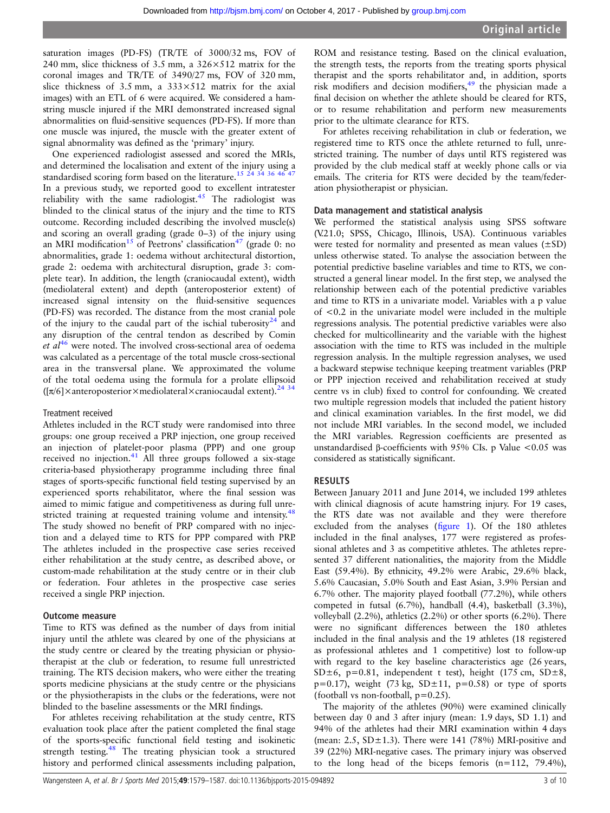saturation images (PD-FS) (TR/TE of 3000/32 ms, FOV of 240 mm, slice thickness of 3.5 mm, a 326×512 matrix for the coronal images and TR/TE of 3490/27 ms, FOV of 320 mm, slice thickness of 3.5 mm, a  $333 \times 512$  matrix for the axial images) with an ETL of 6 were acquired. We considered a hamstring muscle injured if the MRI demonstrated increased signal abnormalities on fluid-sensitive sequences (PD-FS). If more than one muscle was injured, the muscle with the greater extent of signal abnormality was defined as the 'primary' injury.

One experienced radiologist assessed and scored the MRIs, and determined the localisation and extent of the injury using a standardised scoring form based on the literature.<sup>[15 24 34 36](#page-8-0) [46 47](#page-9-0)</sup> In a previous study, we reported good to excellent intratester reliability with the same radiologist.<sup>45</sup> The radiologist was blinded to the clinical status of the injury and the time to RTS outcome. Recording included describing the involved muscle(s) and scoring an overall grading (grade 0–3) of the injury using an MRI modification<sup>15</sup> of Peetrons' classification<sup>[47](#page-9-0)</sup> (grade 0: no abnormalities, grade 1: oedema without architectural distortion, grade 2: oedema with architectural disruption, grade 3: complete tear). In addition, the length (craniocaudal extent), width (mediolateral extent) and depth (anteroposterior extent) of increased signal intensity on the fluid-sensitive sequences (PD-FS) was recorded. The distance from the most cranial pole of the injury to the caudal part of the ischial tuberosity<sup>24</sup> and any disruption of the central tendon as described by Comin et  $al^{46}$  $al^{46}$  $al^{46}$  were noted. The involved cross-sectional area of oedema was calculated as a percentage of the total muscle cross-sectional area in the transversal plane. We approximated the volume of the total oedema using the formula for a prolate ellipsoid  $(\lceil \pi/6 \rceil \times \text{interoposterior} \times \text{mediodateral} \times \text{cranicocaudal extent}).^{24}$ <sup>34</sup>

#### Treatment received

Athletes included in the RCT study were randomised into three groups: one group received a PRP injection, one group received an injection of platelet-poor plasma (PPP) and one group received no injection. $41$  All three groups followed a six-stage criteria-based physiotherapy programme including three final stages of sports-specific functional field testing supervised by an experienced sports rehabilitator, where the final session was aimed to mimic fatigue and competitiveness as during full unre-stricted training at requested training volume and intensity.<sup>[48](#page-9-0)</sup> The study showed no benefit of PRP compared with no injection and a delayed time to RTS for PPP compared with PRP. The athletes included in the prospective case series received either rehabilitation at the study centre, as described above, or custom-made rehabilitation at the study centre or in their club or federation. Four athletes in the prospective case series received a single PRP injection.

#### Outcome measure

Time to RTS was defined as the number of days from initial injury until the athlete was cleared by one of the physicians at the study centre or cleared by the treating physician or physiotherapist at the club or federation, to resume full unrestricted training. The RTS decision makers, who were either the treating sports medicine physicians at the study centre or the physicians or the physiotherapists in the clubs or the federations, were not blinded to the baseline assessments or the MRI findings.

For athletes receiving rehabilitation at the study centre, RTS evaluation took place after the patient completed the final stage of the sports-specific functional field testing and isokinetic strength testing.<sup>[48](#page-9-0)</sup> The treating physician took a structured history and performed clinical assessments including palpation,

ROM and resistance testing. Based on the clinical evaluation, the strength tests, the reports from the treating sports physical therapist and the sports rehabilitator and, in addition, sports risk modifiers and decision modifiers,<sup>[49](#page-9-0)</sup> the physician made a final decision on whether the athlete should be cleared for RTS, or to resume rehabilitation and perform new measurements prior to the ultimate clearance for RTS.

For athletes receiving rehabilitation in club or federation, we registered time to RTS once the athlete returned to full, unrestricted training. The number of days until RTS registered was provided by the club medical staff at weekly phone calls or via emails. The criteria for RTS were decided by the team/federation physiotherapist or physician.

#### Data management and statistical analysis

We performed the statistical analysis using SPSS software (V.21.0; SPSS, Chicago, Illinois, USA). Continuous variables were tested for normality and presented as mean values (±SD) unless otherwise stated. To analyse the association between the potential predictive baseline variables and time to RTS, we constructed a general linear model. In the first step, we analysed the relationship between each of the potential predictive variables and time to RTS in a univariate model. Variables with a p value of <0.2 in the univariate model were included in the multiple regressions analysis. The potential predictive variables were also checked for multicollinearity and the variable with the highest association with the time to RTS was included in the multiple regression analysis. In the multiple regression analyses, we used a backward stepwise technique keeping treatment variables (PRP or PPP injection received and rehabilitation received at study centre vs in club) fixed to control for confounding. We created two multiple regression models that included the patient history and clinical examination variables. In the first model, we did not include MRI variables. In the second model, we included the MRI variables. Regression coefficients are presented as unstandardised β-coefficients with 95% CIs. p Value <0.05 was considered as statistically significant.

#### RESULTS

Between January 2011 and June 2014, we included 199 athletes with clinical diagnosis of acute hamstring injury. For 19 cases, the RTS date was not available and they were therefore excluded from the analyses (fi[gure 1\)](#page-3-0). Of the 180 athletes included in the final analyses, 177 were registered as professional athletes and 3 as competitive athletes. The athletes represented 37 different nationalities, the majority from the Middle East (59.4%). By ethnicity, 49.2% were Arabic, 29.6% black, 5.6% Caucasian, 5.0% South and East Asian, 3.9% Persian and 6.7% other. The majority played football (77.2%), while others competed in futsal (6.7%), handball (4.4), basketball (3.3%), volleyball (2.2%), athletics (2.2%) or other sports (6.2%). There were no significant differences between the 180 athletes included in the final analysis and the 19 athletes (18 registered as professional athletes and 1 competitive) lost to follow-up with regard to the key baseline characteristics age (26 years, SD $\pm$ 6, p=0.81, independent t test), height (175 cm, SD $\pm$ 8,  $p=0.17$ ), weight (73 kg, SD $\pm$ 11,  $p=0.58$ ) or type of sports (football vs non-football,  $p=0.25$ ).

The majority of the athletes (90%) were examined clinically between day 0 and 3 after injury (mean: 1.9 days, SD 1.1) and 94% of the athletes had their MRI examination within 4 days (mean:  $2.5$ , SD $\pm$ 1.3). There were 141 (78%) MRI-positive and 39 (22%) MRI-negative cases. The primary injury was observed to the long head of the biceps femoris  $(n=112, 79.4\%)$ ,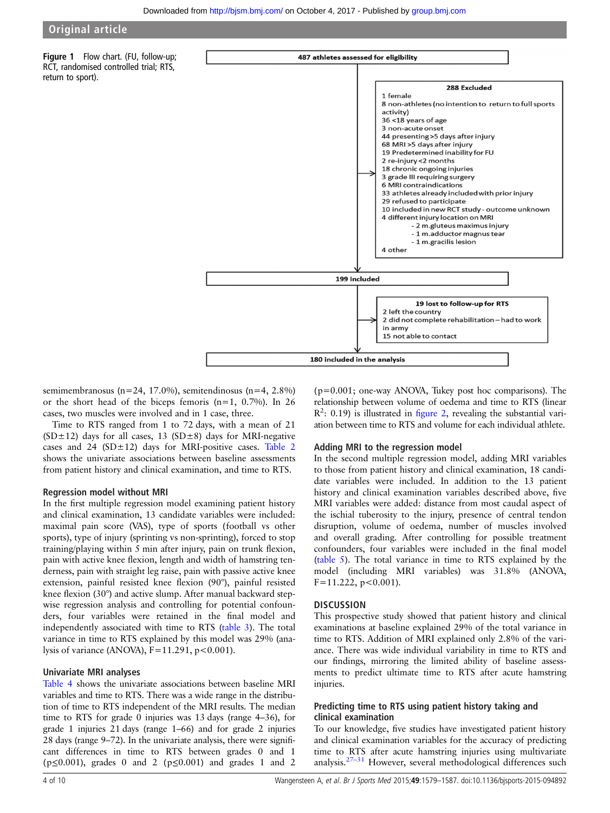<span id="page-3-0"></span>Figure 1 Flow chart. (FU, follow-up; RCT, randomised controlled trial; RTS, return to sport).



semimembranosus (n=24, 17.0%), semitendinosus (n=4, 2.8%) or the short head of the biceps femoris  $(n=1, 0.7%)$ . In 26 cases, two muscles were involved and in 1 case, three.

Time to RTS ranged from 1 to 72 days, with a mean of 21  $(SD \pm 12)$  days for all cases, 13  $(SD \pm 8)$  days for MRI-negative cases and  $24$  (SD $\pm$ 12) days for MRI-positive cases. [Table 2](#page-4-0) shows the univariate associations between baseline assessments from patient history and clinical examination, and time to RTS.

#### Regression model without MRI

In the first multiple regression model examining patient history and clinical examination, 13 candidate variables were included: maximal pain score (VAS), type of sports (football vs other sports), type of injury (sprinting vs non-sprinting), forced to stop training/playing within 5 min after injury, pain on trunk flexion, pain with active knee flexion, length and width of hamstring tenderness, pain with straight leg raise, pain with passive active knee extension, painful resisted knee flexion (90°), painful resisted knee flexion (30°) and active slump. After manual backward stepwise regression analysis and controlling for potential confounders, four variables were retained in the final model and independently associated with time to RTS ([table 3\)](#page-6-0). The total variance in time to RTS explained by this model was 29% (analysis of variance (ANOVA),  $F=11.291$ ,  $p<0.001$ ).

#### Univariate MRI analyses

[Table 4](#page-6-0) shows the univariate associations between baseline MRI variables and time to RTS. There was a wide range in the distribution of time to RTS independent of the MRI results. The median time to RTS for grade 0 injuries was 13 days (range 4–36), for grade 1 injuries 21 days (range 1–66) and for grade 2 injuries 28 days (range 9–72). In the univariate analysis, there were significant differences in time to RTS between grades 0 and 1 ( $p \le 0.001$ ), grades 0 and 2 ( $p \le 0.001$ ) and grades 1 and 2

(p=0.001; one-way ANOVA, Tukey post hoc comparisons). The relationship between volume of oedema and time to RTS (linear  $R<sup>2</sup>$ : 0.19) is illustrated in fi[gure 2,](#page-7-0) revealing the substantial variation between time to RTS and volume for each individual athlete.

2 did not complete rehabilitation - had to work

2 left the country

15 not able to contact

in army

180 included in the analysis

#### Adding MRI to the regression model

In the second multiple regression model, adding MRI variables to those from patient history and clinical examination, 18 candidate variables were included. In addition to the 13 patient history and clinical examination variables described above, five MRI variables were added: distance from most caudal aspect of the ischial tuberosity to the injury, presence of central tendon disruption, volume of oedema, number of muscles involved and overall grading. After controlling for possible treatment confounders, four variables were included in the final model ([table 5\)](#page-7-0). The total variance in time to RTS explained by the model (including MRI variables) was 31.8% (ANOVA,  $F=11.222$ , p < 0.001).

#### **DISCUSSION**

This prospective study showed that patient history and clinical examinations at baseline explained 29% of the total variance in time to RTS. Addition of MRI explained only 2.8% of the variance. There was wide individual variability in time to RTS and our findings, mirroring the limited ability of baseline assessments to predict ultimate time to RTS after acute hamstring injuries.

## Predicting time to RTS using patient history taking and clinical examination

To our knowledge, five studies have investigated patient history and clinical examination variables for the accuracy of predicting time to RTS after acute hamstring injuries using multivariate analysis.[27](#page-8-0)–<sup>31</sup> However, several methodological differences such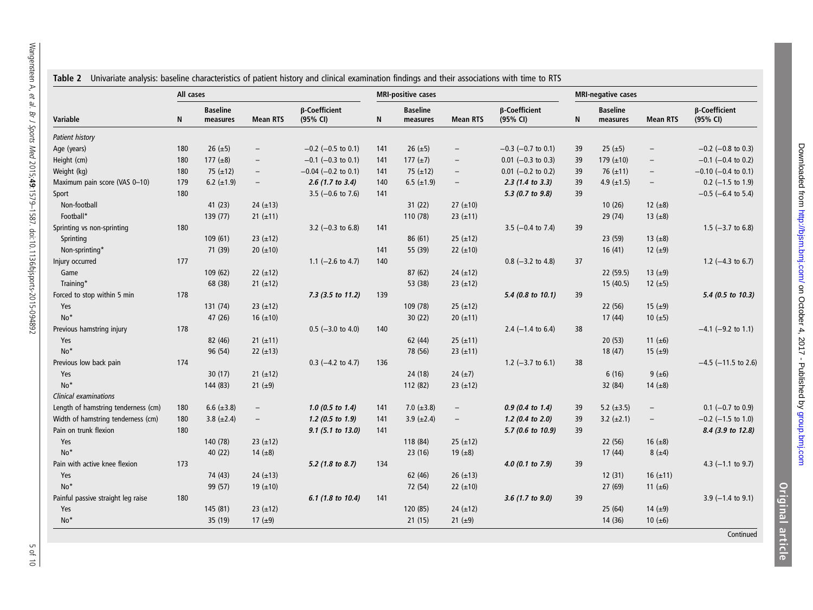<span id="page-4-0"></span>

|                                     | All cases |                             |                          |                              |     | <b>MRI-positive cases</b>   |                          |                              |    | <b>MRI-negative cases</b>   |                          |                              |
|-------------------------------------|-----------|-----------------------------|--------------------------|------------------------------|-----|-----------------------------|--------------------------|------------------------------|----|-----------------------------|--------------------------|------------------------------|
| Variable                            | N         | <b>Baseline</b><br>measures | <b>Mean RTS</b>          | β-Coefficient<br>(95% CI)    | N   | <b>Baseline</b><br>measures | <b>Mean RTS</b>          | β-Coefficient<br>(95% CI)    | N  | <b>Baseline</b><br>measures | <b>Mean RTS</b>          | β-Coefficient<br>(95% CI)    |
| Patient history                     |           |                             |                          |                              |     |                             |                          |                              |    |                             |                          |                              |
| Age (years)                         | 180       | 26 $(\pm 5)$                | $\overline{\phantom{m}}$ | $-0.2$ (-0.5 to 0.1)         | 141 | 26 $(\pm 5)$                | $\overline{\phantom{m}}$ | $-0.3$ ( $-0.7$ to 0.1)      | 39 | 25 ( $\pm$ 5)               | $\overline{\phantom{a}}$ | $-0.2$ ( $-0.8$ to 0.3)      |
| Height (cm)                         | 180       | 177 $(\pm 8)$               | $\overline{\phantom{m}}$ | $-0.1$ (-0.3 to 0.1)         | 141 | 177 $(\pm 7)$               | $\overline{\phantom{a}}$ | $0.01$ (-0.3 to 0.3)         | 39 | 179 $(\pm 10)$              | $\overline{\phantom{m}}$ | $-0.1$ (-0.4 to 0.2)         |
| Weight (kg)                         | 180       | 75 $(\pm 12)$               | $\overline{\phantom{a}}$ | $-0.04$ (-0.2 to 0.1)        | 141 | 75 $(\pm 12)$               | $\overline{\phantom{m}}$ | $0.01$ (-0.2 to 0.2)         | 39 | 76 $(\pm 11)$               | $\overline{\phantom{m}}$ | $-0.10$ (-0.4 to 0.1)        |
| Maximum pain score (VAS 0-10)       | 179       | 6.2 $(\pm 1.9)$             | $\overline{\phantom{m}}$ | $2.6$ (1.7 to 3.4)           | 140 | 6.5 $(\pm 1.9)$             | $\overline{\phantom{a}}$ | $2.3$ (1.4 to 3.3)           | 39 | 4.9 $(\pm 1.5)$             | $\overline{\phantom{0}}$ | $0.2$ (-1.5 to 1.9)          |
| Sport                               | 180       |                             |                          | 3.5 $(-0.6 \text{ to } 7.6)$ | 141 |                             |                          | 5.3 (0.7 to 9.8)             | 39 |                             |                          | $-0.5$ (-6.4 to 5.4)         |
| Non-football                        |           | 41(23)                      | 24 $(\pm 13)$            |                              |     | 31(22)                      | $27 (\pm 10)$            |                              |    | 10(26)                      | 12 $(\pm 8)$             |                              |
| Football*                           |           | 139 (77)                    | $21 (\pm 11)$            |                              |     | 110 (78)                    | 23 $(\pm 11)$            |                              |    | 29(74)                      | 13 $(±8)$                |                              |
| Sprinting vs non-sprinting          | 180       |                             |                          | 3.2 $(-0.3 \text{ to } 6.8)$ | 141 |                             |                          | 3.5 $(-0.4 \text{ to } 7.4)$ | 39 |                             |                          | 1.5 $(-3.7 \text{ to } 6.8)$ |
| Sprinting                           |           | 109(61)                     | $23 (+12)$               |                              |     | 86(61)                      | $25 (+12)$               |                              |    | 23(59)                      | 13 $(±8)$                |                              |
| Non-sprinting*                      |           | 71 (39)                     | $20 (+10)$               |                              | 141 | 55 (39)                     | 22 $(\pm 10)$            |                              |    | 16(41)                      | 12 $(\pm 9)$             |                              |
| Injury occurred                     | 177       |                             |                          | 1.1 $(-2.6 \text{ to } 4.7)$ | 140 |                             |                          | $0.8$ (-3.2 to 4.8)          | 37 |                             |                          | 1.2 $(-4.3 \text{ to } 6.7)$ |
| Game                                |           | 109 (62)                    | $22 (\pm 12)$            |                              |     | 87 (62)                     | $24 (+12)$               |                              |    | 22(59.5)                    | 13 $(±9)$                |                              |
| Training*                           |           | 68 (38)                     | $21 (+12)$               |                              |     | 53 (38)                     | $23 (+12)$               |                              |    | 15(40.5)                    | 12 $(\pm 5)$             |                              |
| Forced to stop within 5 min         | 178       |                             |                          | 7.3 (3.5 to 11.2)            | 139 |                             |                          | 5.4 (0.8 to 10.1)            | 39 |                             |                          | 5.4 (0.5 to 10.3)            |
| Yes                                 |           | 131 (74)                    | $23 (+12)$               |                              |     | 109 (78)                    | $25 (+12)$               |                              |    | 22 (56)                     | 15 ( $\pm$ 9)            |                              |
| $No*$                               |           | 47 (26)                     | 16 $(\pm 10)$            |                              |     | 30(22)                      | $20 (\pm 11)$            |                              |    | 17(44)                      | 10 $(\pm 5)$             |                              |
| Previous hamstring injury           | 178       |                             |                          | $0.5$ (-3.0 to 4.0)          | 140 |                             |                          | 2.4 $(-1.4 \text{ to } 6.4)$ | 38 |                             |                          | $-4.1$ (-9.2 to 1.1)         |
| Yes                                 |           | 82 (46)                     | $21 (\pm 11)$            |                              |     | 62 (44)                     | $25 (+11)$               |                              |    | 20(53)                      | 11 $(\pm 6)$             |                              |
| $No*$                               |           | 96 (54)                     | 22 $(\pm 13)$            |                              |     | 78 (56)                     | $23 (+11)$               |                              |    | 18(47)                      | 15 $(\pm 9)$             |                              |
| Previous low back pain              | 174       |                             |                          | $0.3$ (-4.2 to 4.7)          | 136 |                             |                          | 1.2 $(-3.7 \text{ to } 6.1)$ | 38 |                             |                          | $-4.5$ ( $-11.5$ to 2.6)     |
| Yes                                 |           | 30(17)                      | $21 (\pm 12)$            |                              |     | 24 (18)                     | 24 $(\pm 7)$             |                              |    | 6(16)                       | $9 (+6)$                 |                              |
| $No*$                               |           | 144 (83)                    | 21 $(\pm 9)$             |                              |     | 112 (82)                    | $23 (+12)$               |                              |    | 32 (84)                     | 14 $(\pm 8)$             |                              |
| <b>Clinical examinations</b>        |           |                             |                          |                              |     |                             |                          |                              |    |                             |                          |                              |
| Length of hamstring tenderness (cm) | 180       | 6.6 $(\pm 3.8)$             | $\overline{\phantom{a}}$ | $1.0$ (0.5 to 1.4)           | 141 | 7.0 $(\pm 3.8)$             | $\overline{\phantom{a}}$ | $0.9$ (0.4 to 1.4)           | 39 | 5.2 $(\pm 3.5)$             | $\overline{\phantom{m}}$ | $0.1$ (-0.7 to 0.9)          |
| Width of hamstring tenderness (cm)  | 180       | 3.8 $(\pm 2.4)$             | $\overline{\phantom{a}}$ | $1.2$ (0.5 to 1.9)           | 141 | 3.9 $(\pm 2.4)$             | $\overline{\phantom{m}}$ | 1.2 (0.4 to 2.0)             | 39 | 3.2 $(\pm 2.1)$             | $\overline{\phantom{m}}$ | $-0.2$ (-1.5 to 1.0)         |
| Pain on trunk flexion               | 180       |                             |                          | 9.1 (5.1 to 13.0)            | 141 |                             |                          | 5.7 (0.6 to 10.9)            | 39 |                             |                          | 8.4 (3.9 to 12.8)            |
| Yes                                 |           | 140 (78)                    | 23 $(\pm 12)$            |                              |     | 118 (84)                    | $25 (+12)$               |                              |    | 22 (56)                     | 16 $(\pm 8)$             |                              |
| $No*$                               |           | 40(22)                      | 14 $(\pm 8)$             |                              |     | 23(16)                      | 19 $(±8)$                |                              |    | 17(44)                      | $8 (+4)$                 |                              |
| Pain with active knee flexion       | 173       |                             |                          | 5.2 (1.8 to 8.7)             | 134 |                             |                          | $4.0$ (0.1 to 7.9)           | 39 |                             |                          | 4.3 $(-1.1$ to 9.7)          |
| Yes                                 |           | 74 (43)                     | $24 (+13)$               |                              |     | 62 (46)                     | $26 (\pm 13)$            |                              |    | 12(31)                      | 16 $(\pm 11)$            |                              |
| $No*$                               |           | 99 (57)                     | 19 $(\pm 10)$            |                              |     | 72 (54)                     | 22 $(\pm 10)$            |                              |    | 27 (69)                     | 11 $(±6)$                |                              |
| Painful passive straight leg raise  | 180       |                             |                          | 6.1 (1.8 to 10.4)            | 141 |                             |                          | 3.6 (1.7 to 9.0)             | 39 |                             |                          | $3.9$ (-1.4 to 9.1)          |
| Yes                                 |           | 145 (81)                    | $23 (+12)$               |                              |     | 120 (85)                    | $24 (+12)$               |                              |    | 25(64)                      | 14 $(±9)$                |                              |
| $No*$                               |           | 35 (19)                     | 17 $(\pm 9)$             |                              |     | 21(15)                      | 21 $(\pm 9)$             |                              |    | 14 (36)                     | 10 $(\pm 6)$             |                              |

Downloaded from http://bjsm.bmj.com/ on October 4, 2017 - Published by group.bmj.com [group.bmj.com](http://group.bmj.com)on October 4, 2017 - Published by<http://bjsm.bmj.com/> Downloaded from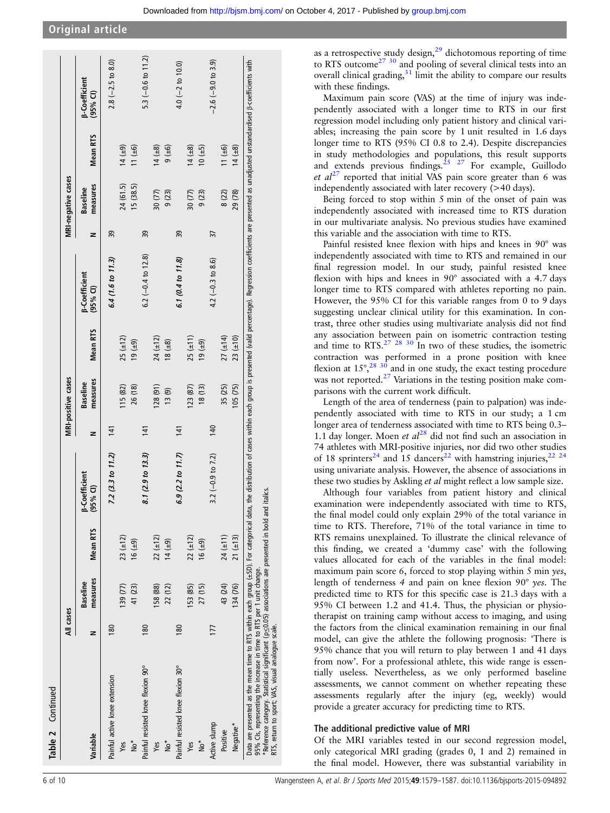|                                                                                                                                                                                                                                                                                                                                                                                                                                                                                | All cases |                             |                 |                                    |     | <b>MRI-positive cases</b>   |                 |                                    |    | <b>MRI-negative cases</b>   |                 |                                    |
|--------------------------------------------------------------------------------------------------------------------------------------------------------------------------------------------------------------------------------------------------------------------------------------------------------------------------------------------------------------------------------------------------------------------------------------------------------------------------------|-----------|-----------------------------|-----------------|------------------------------------|-----|-----------------------------|-----------------|------------------------------------|----|-----------------------------|-----------------|------------------------------------|
| Variable                                                                                                                                                                                                                                                                                                                                                                                                                                                                       | z         | measures<br><b>Baseline</b> | <b>Mean RTS</b> | <b>B-Coefficient</b><br>$(95%$ CI) | z   | measures<br><b>Baseline</b> | <b>Mean RTS</b> | <b>B-Coefficient</b><br>$(95%$ CI) | z  | measures<br><b>Baseline</b> | <b>Mean RTS</b> | <b>B-Coefficient</b><br>$(95%$ CI) |
| Painful active knee extension                                                                                                                                                                                                                                                                                                                                                                                                                                                  | 180       |                             |                 | 7.2 (3.3 to 11.2)                  | 141 |                             |                 | 6.4 (1.6 to 11.3)                  | 39 |                             |                 | $2.8(-2.5 \text{ to } 8.0)$        |
| Yes                                                                                                                                                                                                                                                                                                                                                                                                                                                                            |           | 139 (77)                    | $23 (+12)$      |                                    |     | 115 (82)                    | 25 (±12)        |                                    |    | 24 (61.5)                   | $(6+)$ 11       |                                    |
| *°N                                                                                                                                                                                                                                                                                                                                                                                                                                                                            |           | 41 (23)                     | $(6 + 9)$       |                                    |     | 26 (18)                     | $(6 + 9)$       |                                    |    | 15 (38.5)                   | $11 (+6)$       |                                    |
| Painful resisted knee flexion 90°                                                                                                                                                                                                                                                                                                                                                                                                                                              | 180       |                             |                 | 8.1 (2.9 to 13.3)                  | 141 |                             |                 | 6.2 $(-0.4$ to 12.8)               | 59 |                             |                 | 5.3 $(-0.6 t0 11.2)$               |
| Yes                                                                                                                                                                                                                                                                                                                                                                                                                                                                            |           | 158 (88)                    | $22 (\pm 12)$   |                                    |     | (128(91)                    | $24(\pm 12)$    |                                    |    | 30 (77)                     | $14 (+8)$       |                                    |
| *°N                                                                                                                                                                                                                                                                                                                                                                                                                                                                            |           | 22 (12)                     | $(6 + )$ 14     |                                    |     | $(6)$ $(1)$                 | $(8 + 8)$       |                                    |    | 9(23)                       | 9(46)           |                                    |
| Painful resisted knee flexion 30°                                                                                                                                                                                                                                                                                                                                                                                                                                              | 180       |                             |                 | 6.9(2.2 to 11.7)                   | 141 |                             |                 | 6.1 (0.4 to $11.8$ )               | 39 |                             |                 | $4.0(-2 to 10.0)$                  |
| Yes                                                                                                                                                                                                                                                                                                                                                                                                                                                                            |           | I53 (85)                    | $22 (\pm 12)$   |                                    |     | 123(87)                     | $25(\pm 11)$    |                                    |    | 30 (77)                     | $14 (+8)$       |                                    |
| *°N                                                                                                                                                                                                                                                                                                                                                                                                                                                                            |           | 27 (15)                     | $(6 + 9)$       |                                    |     | 18(13)                      | $(6 + )$ 61     |                                    |    | 9(23)                       | $(54)$ 01       |                                    |
| Active slump                                                                                                                                                                                                                                                                                                                                                                                                                                                                   | 177       |                             |                 | 3.2 $(-0.9$ to 7.2)                | 140 |                             |                 | 4.2 $(-0.3 \text{ to } 8.6)$       | 57 |                             |                 | $-2.6(-9.0 \text{ to } 3.9)$       |
| Positive                                                                                                                                                                                                                                                                                                                                                                                                                                                                       |           | 43 (24)                     | $24 (+11)$      |                                    |     | 35 (25)                     | $27 (\pm 14)$   |                                    |    | 8(22)                       | $11 (+6)$       |                                    |
| Negative*                                                                                                                                                                                                                                                                                                                                                                                                                                                                      |           | 134 (76)                    | $21 (+13)$      |                                    |     | 105(75)                     | $23 (+10)$      |                                    |    | 29 (78)                     | $14 (+8)$       |                                    |
| Data are presented as the mean time to RTS within each group (±SD). For categorical data, the distribution of cases within each group is presented (valid percentage). Regression coefficients are presented as unadjusted uns<br>* Reference category. Statistical significant ( $p \leq 0.05$ ) associations are presented in bold and italics.<br>95% Cls, representing the increase in time to RTS per 1 unit change.<br>RTS, return to sport; VAS, visual analogue scale. |           |                             |                 |                                    |     |                             |                 |                                    |    |                             |                 |                                    |

Maximum pain score (VAS) at the time of injury was independently associated with a longer time to RTS in our first regression model including only patient history and clinical variables; increasing the pain score by 1 unit resulted in 1.6 days longer time to RTS (95% CI 0.8 to 2.4). Despite discrepancies in study methodologies and populations, this result supports and extends previous findings. $25 \times 27$  For example, Guillodo et  $al^{27}$  $al^{27}$  $al^{27}$  reported that initial VAS pain score greater than 6 was independently associated with later recovery (>40 days).

Being forced to stop within 5 min of the onset of pain was independently associated with increased time to RTS duration in our multivariate analysis. No previous studies have examined this variable and the association with time to RTS.

Painful resisted knee flexion with hips and knees in 90° was independently associated with time to RTS and remained in our final regression model. In our study, painful resisted knee flexion with hips and knees in 90° associated with a 4.7 days longer time to RTS compared with athletes reporting no pain. However, the 95% CI for this variable ranges from 0 to 9 days suggesting unclear clinical utility for this examination. In contrast, three other studies using multivariate analysis did not find any association between pain on isometric contraction testing and time to RTS.<sup>27</sup> <sup>28</sup> <sup>30</sup> In two of these studies, the isometric contraction was performed in a prone position with knee flexion at  $15^\circ$ ,<sup>[28 30](#page-8-0)</sup> and in one study, the exact testing procedure was not reported.<sup>27</sup> Variations in the testing position make comparisons with the current work difficult.

Length of the area of tenderness (pain to palpation) was independently associated with time to RTS in our study; a 1 cm longer area of tenderness associated with time to RTS being 0.3– 1.1 day longer. Moen et  $al^{28}$  $al^{28}$  $al^{28}$  did not find such an association in 74 athletes with MRI-positive injuries, nor did two other studies of 18 sprinters<sup>[24](#page-8-0)</sup> and 15 dancers<sup>[22](#page-8-0)</sup> with hamstring injuries, <sup>[22 24](#page-8-0)</sup> using univariate analysis. However, the absence of associations in these two studies by Askling *et al* might reflect a low sample size.

Although four variables from patient history and clinical examination were independently associated with time to RTS, the final model could only explain 29% of the total variance in time to RTS. Therefore, 71% of the total variance in time to RTS remains unexplained. To illustrate the clinical relevance of this finding, we created a 'dummy case' with the following values allocated for each of the variables in the final model: maximum pain score 6, forced to stop playing within 5 min yes, length of tenderness 4 and pain on knee flexion 90° yes. The predicted time to RTS for this specific case is 21.3 days with a 95% CI between 1.2 and 41.4. Thus, the physician or physiotherapist on training camp without access to imaging, and using the factors from the clinical examination remaining in our final model, can give the athlete the following prognosis: 'There is 95% chance that you will return to play between 1 and 41 days from now'. For a professional athlete, this wide range is essentially useless. Nevertheless, as we only performed baseline assessments, we cannot comment on whether repeating these assessments regularly after the injury (eg, weekly) would provide a greater accuracy for predicting time to RTS.

#### The additional predictive value of MRI

Of the MRI variables tested in our second regression model, only categorical MRI grading (grades 0, 1 and 2) remained in the final model. However, there was substantial variability in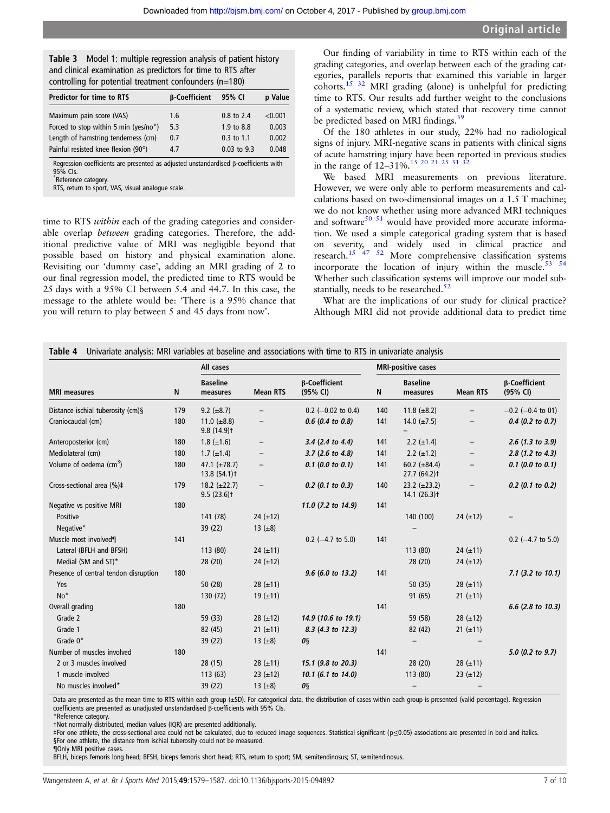<span id="page-6-0"></span>

| <b>Table 3</b> Model 1: multiple regression analysis of patient history |
|-------------------------------------------------------------------------|
| and clinical examination as predictors for time to RTS after            |
| controlling for potential treatment confounders (n=180)                 |

| <b>Predictor for time to RTS</b>      | <b>B-Coefficient</b> | 95% CI         | p Value |
|---------------------------------------|----------------------|----------------|---------|
| Maximum pain score (VAS)              | 1.6                  | $0.8$ to $2.4$ | < 0.001 |
| Forced to stop within 5 min (yes/no*) | 5.3                  | 1.9 to 8.8     | 0.003   |
| Length of hamstring tenderness (cm)   | 0.7                  | $0.3$ to 1.1   | 0.002   |
| Painful resisted knee flexion (90°)   | 4.7                  | 0.03 to 9.3    | 0.048   |

Regression coefficients are presented as adjusted unstandardised β-coefficients with 95% CIs.

\* Reference category. RTS, return to sport, VAS, visual analogue scale.

time to RTS *within* each of the grading categories and considerable overlap between grading categories. Therefore, the additional predictive value of MRI was negligible beyond that possible based on history and physical examination alone. Revisiting our 'dummy case', adding an MRI grading of 2 to our final regression model, the predicted time to RTS would be 25 days with a 95% CI between 5.4 and 44.7. In this case, the message to the athlete would be: 'There is a 95% chance that you will return to play between 5 and 45 days from now'.

Our finding of variability in time to RTS within each of the grading categories, and overlap between each of the grading categories, parallels reports that examined this variable in larger cohorts.[15 32](#page-8-0) MRI grading (alone) is unhelpful for predicting time to RTS. Our results add further weight to the conclusions of a systematic review, which stated that recovery time cannot be predicted based on MRI findings.<sup>39</sup>

Of the 180 athletes in our study, 22% had no radiological signs of injury. MRI-negative scans in patients with clinical signs of acute hamstring injury have been reported in previous studies in the range of  $12-31\%$ .<sup>15</sup> 20 21 25 31

We based MRI measurements on previous literature. However, we were only able to perform measurements and calculations based on two-dimensional images on a 1.5 T machine; we do not know whether using more advanced MRI techniques and software<sup>[50 51](#page-9-0)</sup> would have provided more accurate information. We used a simple categorical grading system that is based on severity, and widely used in clinical practice and research.<sup>[15](#page-8-0) [47 52](#page-9-0)</sup> More comprehensive classification systems incorporate the location of injury within the muscle.<sup>53 54</sup> Whether such classification systems will improve our model substantially, needs to be researched. $52$ 

What are the implications of our study for clinical practice? Although MRI did not provide additional data to predict time

|                                       |     | All cases                                     |                          |                                  |     | <b>MRI-positive cases</b>              |                   |                                  |
|---------------------------------------|-----|-----------------------------------------------|--------------------------|----------------------------------|-----|----------------------------------------|-------------------|----------------------------------|
| <b>MRI</b> measures                   | N   | <b>Baseline</b><br>measures                   | <b>Mean RTS</b>          | <b>B-Coefficient</b><br>(95% CI) | N   | <b>Baseline</b><br>measures            | <b>Mean RTS</b>   | <b>B-Coefficient</b><br>(95% CI) |
| Distance ischial tuberosity (cm)§     | 179 | 9.2 $(\pm 8.7)$                               | $\overline{\phantom{0}}$ | $0.2$ (-0.02 to 0.4)             | 140 | 11.8 $(\pm 8.2)$                       |                   | $-0.2$ ( $-0.4$ to 01)           |
| Craniocaudal (cm)                     | 180 | 11.0 $(\pm 8.8)$<br>$9.8(14.9)$ <sup>+</sup>  | $\overline{\phantom{0}}$ | $0.6$ (0.4 to 0.8)               | 141 | 14.0 $(\pm 7.5)$                       |                   | $0.4$ (0.2 to 0.7)               |
| Anteroposterior (cm)                  | 180 | $1.8 (\pm 1.6)$                               | $\overline{\phantom{a}}$ | 3.4 (2.4 to 4.4)                 | 141 | 2.2 $(\pm 1.4)$                        | $\qquad \qquad -$ | 2.6 (1.3 to 3.9)                 |
| Mediolateral (cm)                     | 180 | $1.7 \ (\pm 1.4)$                             | $\overline{\phantom{0}}$ | $3.7$ (2.6 to 4.8)               | 141 | 2.2 $(\pm 1.2)$                        |                   | 2.8 (1.2 to 4.3)                 |
| Volume of oedema $\text{cm}^3$ )      | 180 | 47.1 $(\pm 78.7)$<br>13.8(54.1)               | $\qquad \qquad -$        | $0.1$ (0.0 to 0.1)               | 141 | 60.2 $(\pm 84.4)$<br>27.7 (64.2) †     |                   | $0.1$ (0.0 to 0.1)               |
| Cross-sectional area (%)‡             | 179 | 18.2 $(\pm 22.7)$<br>$9.5(23.6)$ <sup>+</sup> |                          | $0.2$ (0.1 to 0.3)               | 140 | $23.2 \ (\pm 23.2)$<br>$14.1 (26.3)$ t |                   | $0.2$ (0.1 to 0.2)               |
| Negative vs positive MRI              | 180 |                                               |                          | 11.0 (7.2 to 14.9)               | 141 |                                        |                   |                                  |
| Positive                              |     | 141 (78)                                      | 24 $(\pm 12)$            |                                  |     | 140 (100)                              | 24 $(\pm 12)$     |                                  |
| Negative*                             |     | 39 (22)                                       | 13 $(±8)$                |                                  |     |                                        |                   |                                  |
| Muscle most involved¶                 | 141 |                                               |                          | $0.2$ (-4.7 to 5.0)              | 141 |                                        |                   | $0.2$ (-4.7 to 5.0)              |
| Lateral (BFLH and BFSH)               |     | 113 (80)                                      | 24 $(\pm 11)$            |                                  |     | 113 (80)                               | 24 $(\pm 11)$     |                                  |
| Medial (SM and ST)*                   |     | 28 (20)                                       | 24 $(\pm 12)$            |                                  |     | 28(20)                                 | 24 $(\pm 12)$     |                                  |
| Presence of central tendon disruption | 180 |                                               |                          | 9.6 (6.0 to 13.2)                | 141 |                                        |                   | $7.1$ (3.2 to 10.1)              |
| Yes                                   |     | 50(28)                                        | $28 (\pm 11)$            |                                  |     | 50(35)                                 | 28 $(\pm 11)$     |                                  |
| No*                                   |     | 130 (72)                                      | 19 $(\pm 11)$            |                                  |     | 91 (65)                                | 21 $(\pm 11)$     |                                  |
| Overall grading                       | 180 |                                               |                          |                                  | 141 |                                        |                   | 6.6 (2.8 to 10.3)                |
| Grade 2                               |     | 59 (33)                                       | 28 $(\pm 12)$            | 14.9 (10.6 to 19.1)              |     | 59 (58)                                | 28 $(\pm 12)$     |                                  |
| Grade 1                               |     | 82 (45)                                       | 21 $(\pm 11)$            | 8.3 (4.3 to 12.3)                |     | 82 (42)                                | 21 $(\pm 11)$     |                                  |
| Grade 0*                              |     | 39(22)                                        | 13 $(\pm 8)$             | OS                               |     |                                        |                   |                                  |
| Number of muscles involved            | 180 |                                               |                          |                                  | 141 |                                        |                   | 5.0 (0.2 to 9.7)                 |
| 2 or 3 muscles involved               |     | 28(15)                                        | $28 (\pm 11)$            | 15.1 (9.8 to 20.3)               |     | 28(20)                                 | 28 $(\pm 11)$     |                                  |
| 1 muscle involved                     |     | 113(63)                                       | 23 $(\pm 12)$            | 10.1 (6.1 to 14.0)               |     | 113 (80)                               | 23 $(\pm 12)$     |                                  |
| No muscles involved*                  |     | 39 (22)                                       | 13 $(±8)$                | OŞ                               |     |                                        |                   |                                  |

Data are presented as the mean time to RTS within each group (±SD). For categorical data, the distribution of cases within each group is presented (valid percentage). Regression coefficients are presented as unadjusted unstandardised β-coefficients with 95% CIs. \*Reference category.

†Not normally distributed, median values (IQR) are presented additionally.

‡For one athlete, the cross-sectional area could not be calculated, due to reduced image sequences. Statistical significant (p≤0.05) associations are presented in bold and italics. §For one athlete, the distance from ischial tuberosity could not be measured.

¶Only MRI positive cases.

BFLH, biceps femoris long head; BFSH, biceps femoris short head; RTS, return to sport; SM, semitendinosus; ST, semitendinosus.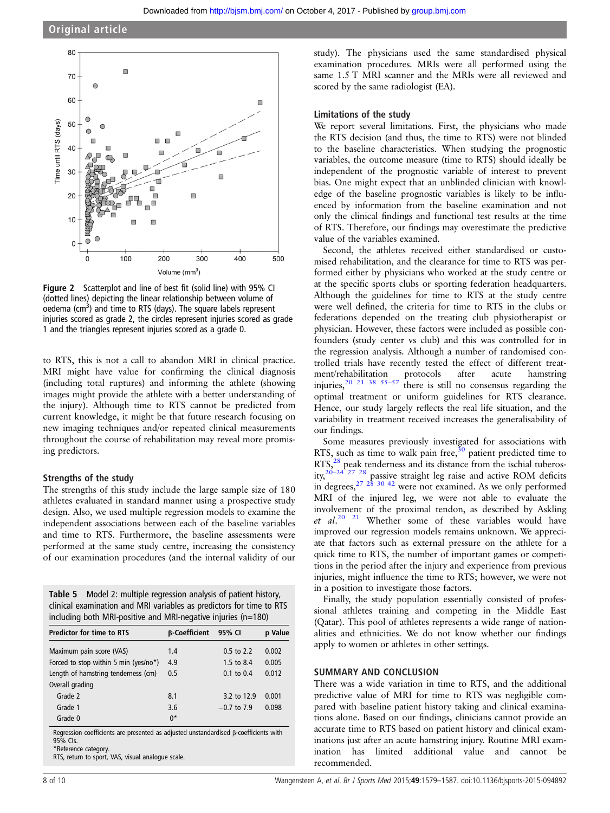<span id="page-7-0"></span>

Figure 2 Scatterplot and line of best fit (solid line) with 95% CI (dotted lines) depicting the linear relationship between volume of oedema (cm<sup>3</sup>) and time to RTS (days). The square labels represent injuries scored as grade 2, the circles represent injuries scored as grade 1 and the triangles represent injuries scored as a grade 0.

to RTS, this is not a call to abandon MRI in clinical practice. MRI might have value for confirming the clinical diagnosis (including total ruptures) and informing the athlete (showing images might provide the athlete with a better understanding of the injury). Although time to RTS cannot be predicted from current knowledge, it might be that future research focusing on new imaging techniques and/or repeated clinical measurements throughout the course of rehabilitation may reveal more promising predictors.

#### Strengths of the study

The strengths of this study include the large sample size of 180 athletes evaluated in standard manner using a prospective study design. Also, we used multiple regression models to examine the independent associations between each of the baseline variables and time to RTS. Furthermore, the baseline assessments were performed at the same study centre, increasing the consistency of our examination procedures (and the internal validity of our

| Table 5 Model 2: multiple regression analysis of patient history,    |
|----------------------------------------------------------------------|
| clinical examination and MRI variables as predictors for time to RTS |
| including both MRI-positive and MRI-negative injuries (n=180)        |

| <b>Predictor for time to RTS</b>      | <b>B-Coefficient</b> | 95% CI                | p Value |
|---------------------------------------|----------------------|-----------------------|---------|
| Maximum pain score (VAS)              | 1.4                  | $0.5$ to $2.2$        | 0.002   |
| Forced to stop within 5 min (yes/no*) | 4.9                  | 1.5 to 8.4            | 0.005   |
| Length of hamstring tenderness (cm)   | 0.5                  | $0.1 \text{ to } 0.4$ | 0.012   |
| Overall grading                       |                      |                       |         |
| Grade 2                               | 8.1                  | 3.2 to 12.9           | 0.001   |
| Grade 1                               | 3.6                  | $-0.7$ to 7.9         | 0.098   |
| Grade 0                               | $0^*$                |                       |         |

Regression coefficients are presented as adjusted unstandardised β-coefficients with 95% CIs. \*Reference category.

RTS, return to sport, VAS, visual analogue scale.

study). The physicians used the same standardised physical examination procedures. MRIs were all performed using the same 1.5 T MRI scanner and the MRIs were all reviewed and scored by the same radiologist (EA).

#### Limitations of the study

We report several limitations. First, the physicians who made the RTS decision (and thus, the time to RTS) were not blinded to the baseline characteristics. When studying the prognostic variables, the outcome measure (time to RTS) should ideally be independent of the prognostic variable of interest to prevent bias. One might expect that an unblinded clinician with knowledge of the baseline prognostic variables is likely to be influenced by information from the baseline examination and not only the clinical findings and functional test results at the time of RTS. Therefore, our findings may overestimate the predictive value of the variables examined.

Second, the athletes received either standardised or customised rehabilitation, and the clearance for time to RTS was performed either by physicians who worked at the study centre or at the specific sports clubs or sporting federation headquarters. Although the guidelines for time to RTS at the study centre were well defined, the criteria for time to RTS in the clubs or federations depended on the treating club physiotherapist or physician. However, these factors were included as possible confounders (study center vs club) and this was controlled for in the regression analysis. Although a number of randomised controlled trials have recently tested the effect of different treatment/rehabilitation protocols after acute hamstring injuries,  $20$  21 [38](#page-9-0) 55-[57](#page-9-0) there is still no consensus regarding the optimal treatment or uniform guidelines for RTS clearance. Hence, our study largely reflects the real life situation, and the variability in treatment received increases the generalisability of our findings.

Some measures previously investigated for associations with RTS, such as time to walk pain free, $30$  patient predicted time to RTS,<sup>[28](#page-8-0)</sup> peak tenderness and its distance from the ischial tuberosity, $20-24$   $27$   $28$  passive straight leg raise and active ROM deficits in degrees,  $27 \frac{28}{30}$  [42](#page-9-0) were not examined. As we only performed MRI of the injured leg, we were not able to evaluate the involvement of the proximal tendon, as described by Askling et  $al.^{20}$  <sup>21</sup> Whether some of these variables would have improved our regression models remains unknown. We appreciate that factors such as external pressure on the athlete for a quick time to RTS, the number of important games or competitions in the period after the injury and experience from previous injuries, might influence the time to RTS; however, we were not in a position to investigate those factors.

Finally, the study population essentially consisted of professional athletes training and competing in the Middle East (Qatar). This pool of athletes represents a wide range of nationalities and ethnicities. We do not know whether our findings apply to women or athletes in other settings.

#### SUMMARY AND CONCLUSION

There was a wide variation in time to RTS, and the additional predictive value of MRI for time to RTS was negligible compared with baseline patient history taking and clinical examinations alone. Based on our findings, clinicians cannot provide an accurate time to RTS based on patient history and clinical examinations just after an acute hamstring injury. Routine MRI examination has limited additional value and cannot be recommended.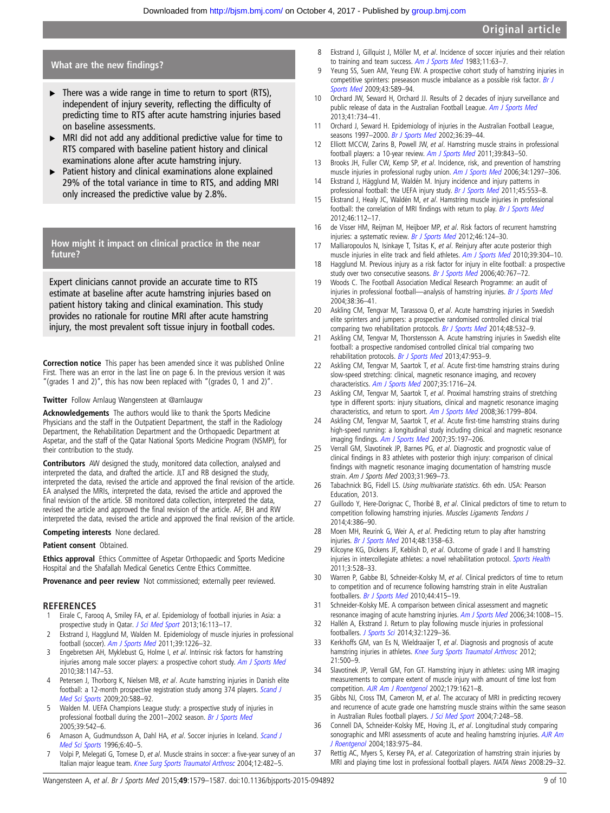#### <span id="page-8-0"></span>What are the new findings?

- $\triangleright$  There was a wide range in time to return to sport (RTS), independent of injury severity, reflecting the difficulty of predicting time to RTS after acute hamstring injuries based on baseline assessments.
- $\triangleright$  MRI did not add any additional predictive value for time to RTS compared with baseline patient history and clinical examinations alone after acute hamstring injury.
- Patient history and clinical examinations alone explained 29% of the total variance in time to RTS, and adding MRI only increased the predictive value by 2.8%.

## How might it impact on clinical practice in the near future?

Expert clinicians cannot provide an accurate time to RTS estimate at baseline after acute hamstring injuries based on patient history taking and clinical examination. This study provides no rationale for routine MRI after acute hamstring injury, the most prevalent soft tissue injury in football codes.

Correction notice This paper has been amended since it was published Online First. There was an error in the last line on page 6. In the previous version it was "(grades 1 and 2)", this has now been replaced with "(grades 0, 1 and 2)".

#### **Twitter** Follow Arnlaug Wangensteen at [@arnlaugw](http://twitter.com/arnlaugw)

Acknowledgements The authors would like to thank the Sports Medicine Physicians and the staff in the Outpatient Department, the staff in the Radiology Department, the Rehabilitation Department and the Orthopaedic Department at Aspetar, and the staff of the Qatar National Sports Medicine Program (NSMP), for their contribution to the study.

Contributors AW designed the study, monitored data collection, analysed and interpreted the data, and drafted the article. JLT and RB designed the study, interpreted the data, revised the article and approved the final revision of the article. EA analysed the MRIs, interpreted the data, revised the article and approved the final revision of the article. SB monitored data collection, interpreted the data, revised the article and approved the final revision of the article. AF, BH and RW interpreted the data, revised the article and approved the final revision of the article.

#### Competing interests None declared.

#### Patient consent Obtained.

Ethics approval Ethics Committee of Aspetar Orthopaedic and Sports Medicine Hospital and the Shafallah Medical Genetics Centre Ethics Committee.

Provenance and peer review Not commissioned; externally peer reviewed.

#### REFERENCES

- 1 Eirale C, Farooq A, Smiley FA, et al. Epidemiology of football injuries in Asia: a prospective study in Qatar. [J Sci Med Sport](http://dx.doi.org/10.1016/j.jsams.2012.07.001) 2013;16:113-17.
- Ekstrand J, Hagglund M, Walden M. Epidemiology of muscle injuries in professional football (soccer). [Am J Sports Med](http://dx.doi.org/10.1177/0363546510395879) 2011;39:1226–32.
- 3 Engebretsen AH, Myklebust G, Holme I, et al. Intrinsic risk factors for hamstring injuries among male soccer players: a prospective cohort study. [Am J Sports Med](http://dx.doi.org/10.1177/0363546509358381) 2010;38:1147–53.
- 4 Petersen J, Thorborg K, Nielsen MB, et al. Acute hamstring injuries in Danish elite football: a 12-month prospective registration study among 374 players. [Scand J](http://dx.doi.org/10.1111/j.1600-0838.2009.00995.x) [Med Sci Sports](http://dx.doi.org/10.1111/j.1600-0838.2009.00995.x) 2009;20:588–92.
- 5 Walden M. UEFA Champions League study: a prospective study of injuries in professional football during the 2001–2002 season. [Br J Sports Med](http://dx.doi.org/10.1136/bjsm.2004.014571) 2005;39:542–6.
- 6 Arnason A, Gudmundsson A, Dahl HA, et al. Soccer injuries in Iceland. [Scand J](http://dx.doi.org/10.1111/j.1600-0838.1996.tb00069.x) [Med Sci Sports](http://dx.doi.org/10.1111/j.1600-0838.1996.tb00069.x) 1996;6:40–5.
- 7 Volpi P, Melegati G, Tornese D, et al. Muscle strains in soccer: a five-year survey of an Italian major league team. [Knee Surg Sports Traumatol Arthrosc](http://dx.doi.org/10.1007/s00167-003-0478-0) 2004;12:482-5.
- 8 Ekstrand J, Gillquist J, Möller M, et al. Incidence of soccer injuries and their relation to training and team success. [Am J Sports Med](http://dx.doi.org/10.1177/036354658301100203) 1983;11:63-7.
- 9 Yeung SS, Suen AM, Yeung EW. A prospective cohort study of hamstring injuries in competitive sprinters: preseason muscle imbalance as a possible risk factor. [Br J](http://dx.doi.org/10.1136/bjsm.2008.056283) [Sports Med](http://dx.doi.org/10.1136/bjsm.2008.056283) 2009;43:589–94.
- 10 Orchard JW, Seward H, Orchard JJ. Results of 2 decades of injury surveillance and public release of data in the Australian Football League. [Am J Sports Med](http://dx.doi.org/10.1177/0363546513476270) 2013;41:734–41.
- 11 Orchard J, Seward H. Epidemiology of injuries in the Australian Football League, seasons 1997-2000. [Br J Sports Med](http://dx.doi.org/10.1136/bjsm.36.1.39) 2002;36:39-44.
- 12 Elliott MCCW, Zarins B, Powell JW, et al. Hamstring muscle strains in professional football players: a 10-year review. [Am J Sports Med](http://dx.doi.org/10.1177/0363546510394647) 2011;39:843-50.
- 13 Brooks JH, Fuller CW, Kemp SP, et al. Incidence, risk, and prevention of hamstring muscle injuries in professional rugby union. [Am J Sports Med](http://dx.doi.org/10.1177/0363546505286022) 2006;34:1297-306.
- 14 Ekstrand J, Hägglund M, Waldén M. Injury incidence and injury patterns in professional football: the UEFA injury study. [Br J Sports Med](http://dx.doi.org/10.1136/bjsm.2009.060582) 2011;45:553-8.
- 15 Ekstrand J, Healy JC, Waldén M, et al. Hamstring muscle injuries in professional football: the correlation of MRI findings with return to play. [Br J Sports Med](http://dx.doi.org/10.1136/bjsports-2011-090155) 2012;46:112–17.
- 16 de Visser HM, Reijman M, Heijboer MP, et al. Risk factors of recurrent hamstring injuries: a systematic review. [Br J Sports Med](http://dx.doi.org/10.1136/bjsports-2011-090317) 2012;46:124-30.
- 17 Malliaropoulos N, Isinkaye T, Tsitas K, et al. Reinjury after acute posterior thigh muscle injuries in elite track and field athletes. [Am J Sports Med](http://dx.doi.org/10.1177/0363546510382857) 2010;39:304-10.
- 18 Hagglund M. Previous injury as a risk factor for injury in elite football: a prospective study over two consecutive seasons. [Br J Sports Med](http://dx.doi.org/10.1136/bjsm.2006.026609) 2006;40:767-72.
- 19 Woods C. The Football Association Medical Research Programme: an audit of injuries in professional football-analysis of hamstring injuries. [Br J Sports Med](http://dx.doi.org/10.1136/bjsm.2002.002352) 2004;38:36–41.
- 20 Askling CM, Tengvar M, Tarassova O, et al. Acute hamstring injuries in Swedish elite sprinters and jumpers: a prospective randomised controlled clinical trial comparing two rehabilitation protocols. [Br J Sports Med](http://dx.doi.org/10.1136/bjsports-2013-093214) 2014;48:532-9.
- 21 Askling CM, Tengvar M, Thorstensson A. Acute hamstring injuries in Swedish elite football: a prospective randomised controlled clinical trial comparing two rehabilitation protocols. [Br J Sports Med](http://dx.doi.org/10.1136/bjsports-2013-092165) 2013;47:953-9.
- Askling CM, Tengvar M, Saartok T, et al. Acute first-time hamstring strains during slow-speed stretching: clinical, magnetic resonance imaging, and recovery characteristics. [Am J Sports Med](http://dx.doi.org/10.1177/0363546507303563) 2007;35:1716–24.
- 23 Askling CM, Tengvar M, Saartok T, et al. Proximal hamstring strains of stretching type in different sports: injury situations, clinical and magnetic resonance imaging characteristics, and return to sport. [Am J Sports Med](http://dx.doi.org/10.1177/0363546508315892) 2008;36:1799–804.
- 24 Askling CM, Tengvar M, Saartok T, et al. Acute first-time hamstring strains during high-speed running: a longitudinal study including clinical and magnetic resonance imaging findings. [Am J Sports Med](http://dx.doi.org/10.1177/0363546506294679) 2007;35:197–206.
- 25 Verrall GM, Slavotinek JP, Barnes PG, et al. Diagnostic and prognostic value of clinical findings in 83 athletes with posterior thigh injury: comparison of clinical findings with magnetic resonance imaging documentation of hamstring muscle strain. Am J Sports Med 2003;31:969–73.
- 26 Tabachnick BG, Fidell LS. Using multivariate statistics. 6th edn. USA: Pearson Education, 2013.
- Guillodo Y, Here-Dorignac C, Thoribé B, et al. Clinical predictors of time to return to competition following hamstring injuries. Muscles Ligaments Tendons J 2014;4:386–90.
- 28 Moen MH, Reurink G, Weir A, et al. Predicting return to play after hamstring injuries. [Br J Sports Med](http://dx.doi.org/10.1136/bjsports-2014-093860) 2014;48:1358-63.
- Kilcoyne KG, Dickens JF, Keblish D, et al. Outcome of grade I and II hamstring injuries in intercollegiate athletes: a novel rehabilitation protocol. [Sports Health](http://dx.doi.org/10.1177/1941738111422044) 2011;3:528–33.
- 30 Warren P, Gabbe BJ, Schneider-Kolsky M, et al. Clinical predictors of time to return to competition and of recurrence following hamstring strain in elite Australian footballers. [Br J Sports Med](http://dx.doi.org/10.1136/bjsm.2008.048181) 2010;44:415-19.
- 31 Schneider-Kolsky ME. A comparison between clinical assessment and magnetic resonance imaging of acute hamstring injuries. [Am J Sports Med](http://dx.doi.org/10.1177/0363546505283835) 2006;34:1008-15.
- 32 Hallén A, Ekstrand J. Return to play following muscle injuries in professional footballers. [J Sports Sci](http://dx.doi.org/10.1080/02640414.2014.905695) 2014;32:1229-36.
- 33 Kerkhoffs GM, van Es N, Wieldraaijer T, et al. Diagnosis and prognosis of acute hamstring injuries in athletes. [Knee Surg Sports Traumatol Arthrosc](http://dx.doi.org/10.1007/s00167-012-2055-x) 2012; 21:500–9.
- 34 Slavotinek JP, Verrall GM, Fon GT. Hamstring injury in athletes: using MR imaging measurements to compare extent of muscle injury with amount of time lost from competition. [AJR Am J Roentgenol](http://dx.doi.org/10.2214/ajr.179.6.1791621) 2002;179:1621-8.
- 35 Gibbs NJ, Cross TM, Cameron M, et al. The accuracy of MRI in predicting recovery and recurrence of acute grade one hamstring muscle strains within the same season in Australian Rules football players. [J Sci Med Sport](http://dx.doi.org/10.1016/S1440-2440(04)80016-1) 2004;7:248-58.
- 36 Connell DA, Schneider-Kolsky ME, Hoving JL, et al. Longitudinal study comparing sonographic and MRI assessments of acute and healing hamstring injuries. [AJR Am](http://dx.doi.org/10.2214/ajr.183.4.1830975) [J Roentgenol](http://dx.doi.org/10.2214/ajr.183.4.1830975) 2004;183:975–84.
- 37 Rettig AC, Myers S, Kersey PA, et al. Categorization of hamstring strain injuries by MRI and playing time lost in professional football players. NATA News 2008:29–32.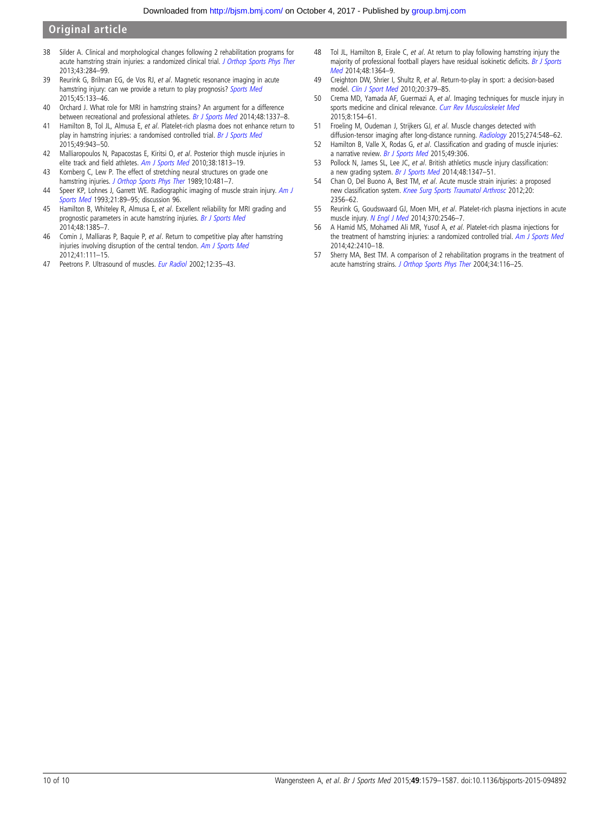- <span id="page-9-0"></span>38 Silder A. Clinical and morphological changes following 2 rehabilitation programs for acute hamstring strain injuries: a randomized clinical trial. [J Orthop Sports Phys Ther](http://dx.doi.org/10.2519/jospt.2013.4452) 2013;43:284–99.
- 39 Reurink G, Brilman EG, de Vos RJ, et al. Magnetic resonance imaging in acute hamstring injury: can we provide a return to play prognosis? [Sports Med](http://dx.doi.org/10.1007/s40279-014-0243-1) 2015;45:133–46.
- 40 Orchard J. What role for MRI in hamstring strains? An argument for a difference between recreational and professional athletes. [Br J Sports Med](http://dx.doi.org/10.1136/bjsports-2014-093900) 2014;48:1337-8.
- 41 Hamilton B, Tol JL, Almusa E, et al. Platelet-rich plasma does not enhance return to play in hamstring injuries: a randomised controlled trial. [Br J Sports Med](http://dx.doi.org/10.1136/bjsports-2015-094603) 2015;49:943–50.
- 42 Malliaropoulos N, Papacostas E, Kiritsi O, et al. Posterior thigh muscle injuries in elite track and field athletes. [Am J Sports Med](http://dx.doi.org/10.1177/0363546510366423) 2010;38:1813–19.
- 43 Kornberg C, Lew P. The effect of stretching neural structures on grade one hamstring injuries. [J Orthop Sports Phys Ther](http://dx.doi.org/10.2519/jospt.1989.10.12.481) 1989;10:481-7.
- 44 Speer KP, Lohnes J, Garrett WE. Radiographic imaging of muscle strain injury. [Am J](http://dx.doi.org/10.1177/036354659302100116) [Sports Med](http://dx.doi.org/10.1177/036354659302100116) 1993;21:89-95; discussion 96.
- 45 Hamilton B, Whiteley R, Almusa E, et al. Excellent reliability for MRI grading and prognostic parameters in acute hamstring injuries. [Br J Sports Med](http://dx.doi.org/10.1136/bjsports-2013-092564) 2014;48:1385–7.
- 46 Comin J, Malliaras P, Baquie P, et al. Return to competitive play after hamstring injuries involving disruption of the central tendon. [Am J Sports Med](http://dx.doi.org/10.1177/0363546512463679) 2012;41:111–15.
- 47 Peetrons P. Ultrasound of muscles. [Eur Radiol](http://dx.doi.org/10.1007/s00330-001-1164-6) 2002;12:35-43.
- 48 Tol JL, Hamilton B, Eirale C, et al. At return to play following hamstring injury the majority of professional football players have residual isokinetic deficits. [Br J Sports](http://dx.doi.org/10.1136/bjsports-2013-093016) [Med](http://dx.doi.org/10.1136/bjsports-2013-093016) 2014;48:1364–9.
- 49 Creighton DW, Shrier I, Shultz R, et al. Return-to-play in sport: a decision-based model. [Clin J Sport Med](http://dx.doi.org/10.1097/JSM.0b013e3181f3c0fe) 2010;20:379–85.
- 50 Crema MD, Yamada AF, Guermazi A, et al. Imaging techniques for muscle injury in sports medicine and clinical relevance. [Curr Rev Musculoskelet Med](http://dx.doi.org/10.1007/s12178-015-9260-4) 2015;8:154–61.
- 51 Froeling M, Oudeman J, Strijkers GJ, et al. Muscle changes detected with diffusion-tensor imaging after long-distance running. [Radiology](http://dx.doi.org/10.1148/radiol.14140702) 2015;274:548-62.
- 52 Hamilton B, Valle X, Rodas G, et al. Classification and grading of muscle injuries: a narrative review. [Br J Sports Med](http://dx.doi.org/10.1136/bjsports-2014-093551) 2015;49:306.
- 53 Pollock N, James SL, Lee JC, et al. British athletics muscle injury classification: a new grading system. [Br J Sports Med](http://dx.doi.org/10.1136/bjsports-2013-093302) 2014;48:1347-51.
- 54 Chan O, Del Buono A, Best TM, et al. Acute muscle strain injuries: a proposed new classification system. [Knee Surg Sports Traumatol Arthrosc](http://dx.doi.org/10.1007/s00167-012-2118-z) 2012;20: 2356–62.
- 55 Reurink G, Goudswaard GJ, Moen MH, et al. Platelet-rich plasma injections in acute muscle injury. [N Engl J Med](http://dx.doi.org/10.1056/NEJMc1402340) 2014;370:2546-7.
- 56 A Hamid MS, Mohamed Ali MR, Yusof A, et al. Platelet-rich plasma injections for the treatment of hamstring injuries: a randomized controlled trial. [Am J Sports Med](http://dx.doi.org/10.1177/0363546514541540) 2014;42:2410–18.
- 57 Sherry MA, Best TM. A comparison of 2 rehabilitation programs in the treatment of acute hamstring strains. [J Orthop Sports Phys Ther](http://dx.doi.org/10.2519/jospt.2004.34.3.116) 2004;34:116–25.